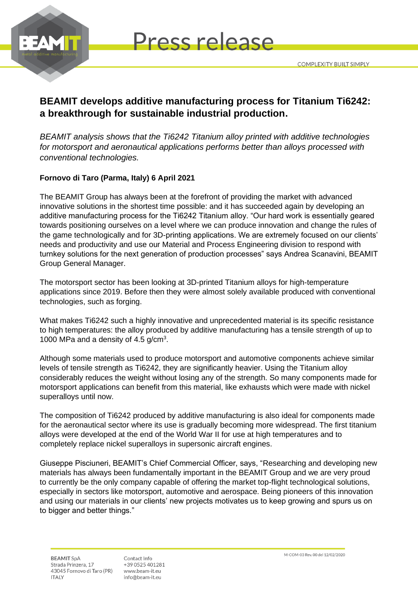

**Press release** 

## **BEAMIT develops additive manufacturing process for Titanium Ti6242: a breakthrough for sustainable industrial production.**

*BEAMIT analysis shows that the Ti6242 Titanium alloy printed with additive technologies for motorsport and aeronautical applications performs better than alloys processed with conventional technologies.* 

### **Fornovo di Taro (Parma, Italy) 6 April 2021**

The BEAMIT Group has always been at the forefront of providing the market with advanced innovative solutions in the shortest time possible: and it has succeeded again by developing an additive manufacturing process for the Ti6242 Titanium alloy. "Our hard work is essentially geared towards positioning ourselves on a level where we can produce innovation and change the rules of the game technologically and for 3D-printing applications. We are extremely focused on our clients' needs and productivity and use our Material and Process Engineering division to respond with turnkey solutions for the next generation of production processes" says Andrea Scanavini, BEAMIT Group General Manager.

The motorsport sector has been looking at 3D-printed Titanium alloys for high-temperature applications since 2019. Before then they were almost solely available produced with conventional technologies, such as forging.

What makes Ti6242 such a highly innovative and unprecedented material is its specific resistance to high temperatures: the alloy produced by additive manufacturing has a tensile strength of up to 1000 MPa and a density of  $4.5$  g/cm<sup>3</sup>.

Although some materials used to produce motorsport and automotive components achieve similar levels of tensile strength as Ti6242, they are significantly heavier. Using the Titanium alloy considerably reduces the weight without losing any of the strength. So many components made for motorsport applications can benefit from this material, like exhausts which were made with nickel superalloys until now.

The composition of Ti6242 produced by additive manufacturing is also ideal for components made for the aeronautical sector where its use is gradually becoming more widespread. The first titanium alloys were developed at the end of the World War II for use at high temperatures and to completely replace nickel superalloys in supersonic aircraft engines.

Giuseppe Pisciuneri, BEAMIT's Chief Commercial Officer, says, "Researching and developing new materials has always been fundamentally important in the BEAMIT Group and we are very proud to currently be the only company capable of offering the market top-flight technological solutions, especially in sectors like motorsport, automotive and aerospace. Being pioneers of this innovation and using our materials in our clients' new projects motivates us to keep growing and spurs us on to bigger and better things."

**BEAMIT SpA** Strada Prinzera, 17 43045 Fornovo di Taro (PR) **ITALY** 

Contact Info +39 0525 401281 www.beam-it.eu info@beam-it.eu

M-COM-03 Rev. 00 del 12/02/2020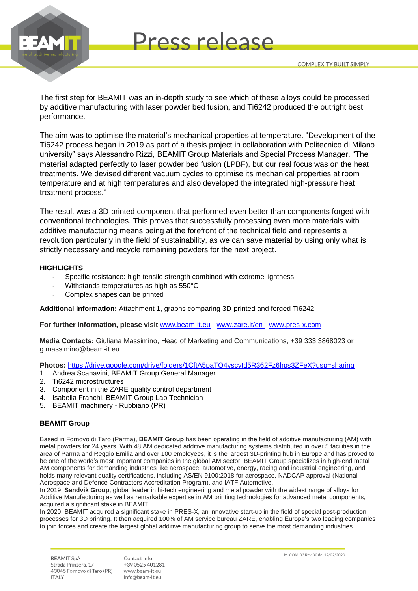

The first step for BEAMIT was an in-depth study to see which of these alloys could be processed by additive manufacturing with laser powder bed fusion, and Ti6242 produced the outright best performance.

**Press release** 

The aim was to optimise the material's mechanical properties at temperature. "Development of the Ti6242 process began in 2019 as part of a thesis project in collaboration with Politecnico di Milano university" says Alessandro Rizzi, BEAMIT Group Materials and Special Process Manager. "The material adapted perfectly to laser powder bed fusion (LPBF), but our real focus was on the heat treatments. We devised different vacuum cycles to optimise its mechanical properties at room temperature and at high temperatures and also developed the integrated high-pressure heat treatment process."

The result was a 3D-printed component that performed even better than components forged with conventional technologies. This proves that successfully processing even more materials with additive manufacturing means being at the forefront of the technical field and represents a revolution particularly in the field of sustainability, as we can save material by using only what is strictly necessary and recycle remaining powders for the next project.

#### **HIGHLIGHTS**

- Specific resistance: high tensile strength combined with extreme lightness
- Withstands temperatures as high as 550°C
- Complex shapes can be printed

**Additional information:** Attachment 1, graphs comparing 3D-printed and forged Ti6242

**For further information, please visit** [www.beam-it.eu](http://www.beam-it.eu/) - [www.zare.it/en](http://www.zare.it/en) - [www.pres-x.com](http://www.pres-x.com/)

**Media Contacts:** Giuliana Massimino, Head of Marketing and Communications, +39 333 3868023 or g.massimino@beam-it.eu

**Photos:** [https://drive.google.com/drive/folders/1CftA5paTO4yscytd5R362Fz6hps3ZFeX?usp=sharing](https://eur01.safelinks.protection.outlook.com/?url=https%3A%2F%2Fdrive.google.com%2Fdrive%2Ffolders%2F1CftA5paTO4yscytd5R362Fz6hps3ZFeX%3Fusp%3Dsharing&data=04%7C01%7Cgiuliana.massimino%40sandvik.com%7Ce9784a5daed4441e680408d8f52cc5ab%7Ce11cbe9cf68044b99d42d705f740b888%7C0%7C0%7C637528919947183808%7CUnknown%7CTWFpbGZsb3d8eyJWIjoiMC4wLjAwMDAiLCJQIjoiV2luMzIiLCJBTiI6Ik1haWwiLCJXVCI6Mn0%3D%7C1000&sdata=1S6XoZsy1DdCF47frEZGbrFLZOWLpLQFusM5LuLFSc0%3D&reserved=0)

- 1. Andrea Scanavini, BEAMIT Group General Manager
- 2. Ti6242 microstructures
- 3. Component in the ZARE quality control department
- 4. Isabella Franchi, BEAMIT Group Lab Technician
- 5. BEAMIT machinery Rubbiano (PR)

#### **BEAMIT Group**

Based in Fornovo di Taro (Parma), **BEAMIT Group** has been operating in the field of additive manufacturing (AM) with metal powders for 24 years. With 48 AM dedicated additive manufacturing systems distributed in over 5 facilities in the area of Parma and Reggio Emilia and over 100 employees, it is the largest 3D-printing hub in Europe and has proved to be one of the world's most important companies in the global AM sector. BEAMIT Group specializes in high-end metal AM components for demanding industries like aerospace, automotive, energy, racing and industrial engineering, and holds many relevant quality certifications, including AS/EN 9100:2018 for aerospace, NADCAP approval (National Aerospace and Defence Contractors Accreditation Program), and IATF Automotive.

In 2019, **Sandvik Group**, global leader in hi-tech engineering and metal powder with the widest range of alloys for Additive Manufacturing as well as remarkable expertise in AM printing technologies for advanced metal components, acquired a significant stake in BEAMIT.

In 2020, BEAMIT acquired a significant stake in PRES-X, an innovative start-up in the field of special post-production processes for 3D printing. It then acquired 100% of AM service bureau ZARE, enabling Europe's two leading companies to join forces and create the largest global additive manufacturing group to serve the most demanding industries.

**BEAMIT SpA** Strada Prinzera, 17 43045 Fornovo di Taro (PR) **ITALY** 

Contact Info +39 0525 401281 www.beam-it.eu info@beam-it.eu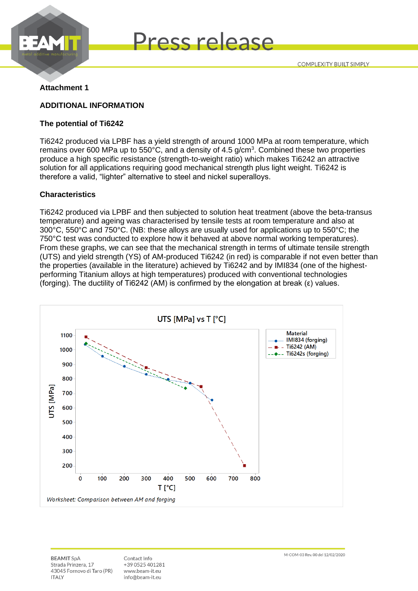



#### **Attachment 1**

#### **ADDITIONAL INFORMATION**

#### **The potential of Ti6242**

Ti6242 produced via LPBF has a yield strength of around 1000 MPa at room temperature, which remains over 600 MPa up to 550°C, and a density of 4.5 g/cm<sup>3</sup>. Combined these two properties produce a high specific resistance (strength-to-weight ratio) which makes Ti6242 an attractive solution for all applications requiring good mechanical strength plus light weight. Ti6242 is therefore a valid, "lighter" alternative to steel and nickel superalloys.

#### **Characteristics**

Ti6242 produced via LPBF and then subjected to solution heat treatment (above the beta-transus temperature) and ageing was characterised by tensile tests at room temperature and also at 300°C, 550°C and 750°C. (NB: these alloys are usually used for applications up to 550°C; the 750°C test was conducted to explore how it behaved at above normal working temperatures). From these graphs, we can see that the mechanical strength in terms of ultimate tensile strength (UTS) and yield strength (YS) of AM-produced Ti6242 (in red) is comparable if not even better than the properties (available in the literature) achieved by Ti6242 and by IMI834 (one of the highestperforming Titanium alloys at high temperatures) produced with conventional technologies (forging). The ductility of Ti6242 (AM) is confirmed by the elongation at break (ε) values.



**BEAMIT SpA** Strada Prinzera, 17 43045 Fornovo di Taro (PR) **ITALY** 

Contact Info +39 0525 401281 www.beam-it.eu info@beam-it.eu